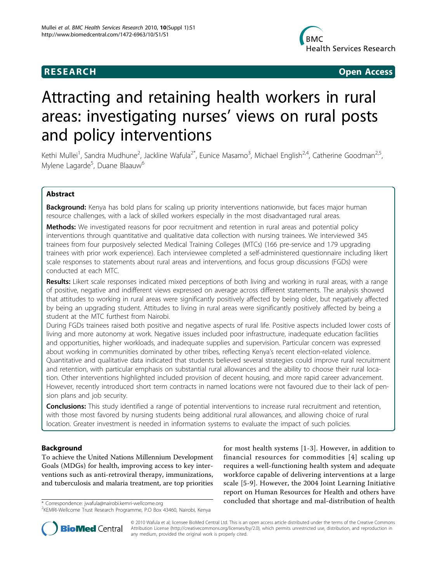

**RESEARCH CONTROL** RESEARCH COMMUNISMENT CONTROL CONTROL CONTROL CONTROL CONTROL CONTROL CONTROL CONTROL CONTROL CONTROL CONTROL CONTROL CONTROL CONTROL CONTROL CONTROL CONTROL CONTROL CONTROL CONTROL CONTROL CONTROL CONTR

# Attracting and retaining health workers in rural areas: investigating nurses' views on rural posts and policy interventions

Kethi Mullei<sup>1</sup>, Sandra Mudhune<sup>2</sup>, Jackline Wafula<sup>2\*</sup>, Eunice Masamo<sup>3</sup>, Michael English<sup>2,4</sup>, Catherine Goodman<sup>2,5</sup>, Mylene Lagarde<sup>5</sup>, Duane Blaauw<sup>6</sup>

# Abstract

**Background:** Kenya has bold plans for scaling up priority interventions nationwide, but faces major human resource challenges, with a lack of skilled workers especially in the most disadvantaged rural areas.

Methods: We investigated reasons for poor recruitment and retention in rural areas and potential policy interventions through quantitative and qualitative data collection with nursing trainees. We interviewed 345 trainees from four purposively selected Medical Training Colleges (MTCs) (166 pre-service and 179 upgrading trainees with prior work experience). Each interviewee completed a self-administered questionnaire including likert scale responses to statements about rural areas and interventions, and focus group discussions (FGDs) were conducted at each MTC.

Results: Likert scale responses indicated mixed perceptions of both living and working in rural areas, with a range of positive, negative and indifferent views expressed on average across different statements. The analysis showed that attitudes to working in rural areas were significantly positively affected by being older, but negatively affected by being an upgrading student. Attitudes to living in rural areas were significantly positively affected by being a student at the MTC furthest from Nairobi.

During FGDs trainees raised both positive and negative aspects of rural life. Positive aspects included lower costs of living and more autonomy at work. Negative issues included poor infrastructure, inadequate education facilities and opportunities, higher workloads, and inadequate supplies and supervision. Particular concern was expressed about working in communities dominated by other tribes, reflecting Kenya's recent election-related violence. Quantitative and qualitative data indicated that students believed several strategies could improve rural recruitment and retention, with particular emphasis on substantial rural allowances and the ability to choose their rural location. Other interventions highlighted included provision of decent housing, and more rapid career advancement. However, recently introduced short term contracts in named locations were not favoured due to their lack of pension plans and job security.

**Conclusions:** This study identified a range of potential interventions to increase rural recruitment and retention, with those most favored by nursing students being additional rural allowances, and allowing choice of rural location. Greater investment is needed in information systems to evaluate the impact of such policies.

# Background

To achieve the United Nations Millennium Development Goals (MDGs) for health, improving access to key interventions such as anti-retroviral therapy, immunizations, and tuberculosis and malaria treatment, are top priorities

for most health systems [[1-3\]](#page-8-0). However, in addition to financial resources for commodities [[4\]](#page-8-0) scaling up requires a well-functioning health system and adequate workforce capable of delivering interventions at a large scale [[5-9](#page-8-0)]. However, the 2004 Joint Learning Initiative report on Human Resources for Health and others have \* Correspondence: [jwafula@nairobi.kemri-wellcome.org](mailto:jwafula@nairobi.kemri-wellcome.org) concluded that shortage and mal-distribution of health



© 2010 Wafula et al; licensee BioMed Central Ltd. This is an open access article distributed under the terms of the Creative Commons Attribution License [\(http://creativecommons.org/licenses/by/2.0](http://creativecommons.org/licenses/by/2.0)), which permits unrestricted use, distribution, and reproduction in any medium, provided the original work is properly cited.

<sup>2</sup> KEMRI-Wellcome Trust Research Programme, P.O Box 43460, Nairobi, Kenya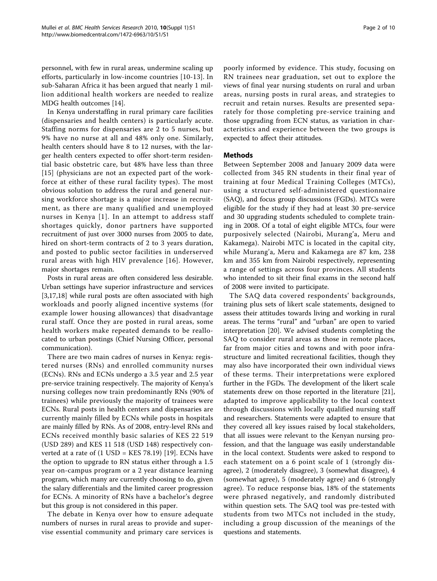personnel, with few in rural areas, undermine scaling up efforts, particularly in low-income countries [\[10](#page-8-0)-[13](#page-8-0)]. In sub-Saharan Africa it has been argued that nearly 1 million additional health workers are needed to realize MDG health outcomes [[14](#page-8-0)].

In Kenya understaffing in rural primary care facilities (dispensaries and health centers) is particularly acute. Staffing norms for dispensaries are 2 to 5 nurses, but 9% have no nurse at all and 48% only one. Similarly, health centers should have 8 to 12 nurses, with the larger health centers expected to offer short-term residential basic obstetric care, but 48% have less than three [[15](#page-8-0)] (physicians are not an expected part of the workforce at either of these rural facility types). The most obvious solution to address the rural and general nursing workforce shortage is a major increase in recruitment, as there are many qualified and unemployed nurses in Kenya [[1](#page-8-0)]. In an attempt to address staff shortages quickly, donor partners have supported recruitment of just over 3000 nurses from 2005 to date, hired on short-term contracts of 2 to 3 years duration, and posted to public sector facilities in underserved rural areas with high HIV prevalence [\[16\]](#page-8-0). However, major shortages remain.

Posts in rural areas are often considered less desirable. Urban settings have superior infrastructure and services [[3,17,18\]](#page-8-0) while rural posts are often associated with high workloads and poorly aligned incentive systems (for example lower housing allowances) that disadvantage rural staff. Once they are posted in rural areas, some health workers make repeated demands to be reallocated to urban postings (Chief Nursing Officer, personal communication).

There are two main cadres of nurses in Kenya: registered nurses (RNs) and enrolled community nurses (ECNs). RNs and ECNs undergo a 3.5 year and 2.5 year pre-service training respectively. The majority of Kenya's nursing colleges now train predominantly RNs (90% of trainees) while previously the majority of trainees were ECNs. Rural posts in health centers and dispensaries are currently mainly filled by ECNs while posts in hospitals are mainly filled by RNs. As of 2008, entry-level RNs and ECNs received monthly basic salaries of KES 22 519 (USD 289) and KES 11 518 (USD 148) respectively converted at a rate of  $(1 \text{ USD} = \text{KES } 78.19)$  [[19\]](#page-8-0). ECNs have the option to upgrade to RN status either through a 1.5 year on-campus program or a 2 year distance learning program, which many are currently choosing to do, given the salary differentials and the limited career progression for ECNs. A minority of RNs have a bachelor's degree but this group is not considered in this paper.

The debate in Kenya over how to ensure adequate numbers of nurses in rural areas to provide and supervise essential community and primary care services is poorly informed by evidence. This study, focusing on RN trainees near graduation, set out to explore the views of final year nursing students on rural and urban areas, nursing posts in rural areas, and strategies to recruit and retain nurses. Results are presented separately for those completing pre-service training and those upgrading from ECN status, as variation in char-

acteristics and experience between the two groups is

### Methods

expected to affect their attitudes.

Between September 2008 and January 2009 data were collected from 345 RN students in their final year of training at four Medical Training Colleges (MTCs), using a structured self-administered questionnaire (SAQ), and focus group discussions (FGDs). MTCs were eligible for the study if they had at least 30 pre-service and 30 upgrading students scheduled to complete training in 2008. Of a total of eight eligible MTCs, four were purposively selected (Nairobi, Murang'a, Meru and Kakamega). Nairobi MTC is located in the capital city, while Murang'a, Meru and Kakamega are 87 km, 238 km and 355 km from Nairobi respectively, representing a range of settings across four provinces. All students who intended to sit their final exams in the second half of 2008 were invited to participate.

The SAQ data covered respondents' backgrounds, training plus sets of likert scale statements, designed to assess their attitudes towards living and working in rural areas. The terms "rural" and "urban" are open to varied interpretation [\[20](#page-8-0)]. We advised students completing the SAQ to consider rural areas as those in remote places, far from major cities and towns and with poor infrastructure and limited recreational facilities, though they may also have incorporated their own individual views of these terms. Their interpretations were explored further in the FGDs. The development of the likert scale statements drew on those reported in the literature [\[21](#page-8-0)], adapted to improve applicability to the local context through discussions with locally qualified nursing staff and researchers. Statements were adapted to ensure that they covered all key issues raised by local stakeholders, that all issues were relevant to the Kenyan nursing profession, and that the language was easily understandable in the local context. Students were asked to respond to each statement on a 6 point scale of 1 (strongly disagree), 2 (moderately disagree), 3 (somewhat disagree), 4 (somewhat agree), 5 (moderately agree) and 6 (strongly agree). To reduce response bias, 18% of the statements were phrased negatively, and randomly distributed within question sets. The SAQ tool was pre-tested with students from two MTCs not included in the study, including a group discussion of the meanings of the questions and statements.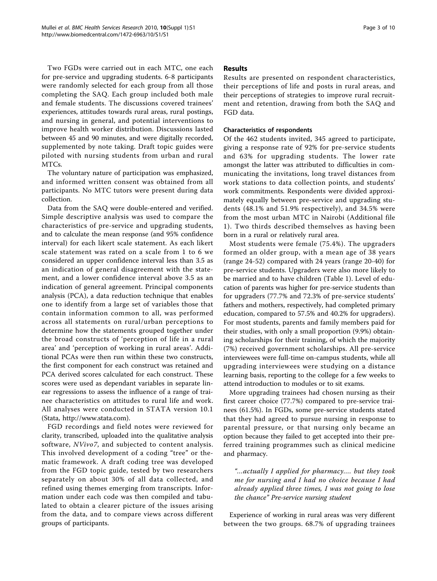Two FGDs were carried out in each MTC, one each for pre-service and upgrading students. 6-8 participants were randomly selected for each group from all those completing the SAQ. Each group included both male and female students. The discussions covered trainees' experiences, attitudes towards rural areas, rural postings, and nursing in general, and potential interventions to improve health worker distribution. Discussions lasted between 45 and 90 minutes, and were digitally recorded, supplemented by note taking. Draft topic guides were piloted with nursing students from urban and rural MTCs.

The voluntary nature of participation was emphasized, and informed written consent was obtained from all participants. No MTC tutors were present during data collection.

Data from the SAQ were double-entered and verified. Simple descriptive analysis was used to compare the characteristics of pre-service and upgrading students, and to calculate the mean response (and 95% confidence interval) for each likert scale statement. As each likert scale statement was rated on a scale from 1 to 6 we considered an upper confidence interval less than 3.5 as an indication of general disagreement with the statement, and a lower confidence interval above 3.5 as an indication of general agreement. Principal components analysis (PCA), a data reduction technique that enables one to identify from a large set of variables those that contain information common to all, was performed across all statements on rural/urban perceptions to determine how the statements grouped together under the broad constructs of 'perception of life in a rural area' and 'perception of working in rural areas'. Additional PCAs were then run within these two constructs, the first component for each construct was retained and PCA derived scores calculated for each construct. These scores were used as dependant variables in separate linear regressions to assess the influence of a range of trainee characteristics on attitudes to rural life and work. All analyses were conducted in STATA version 10.1 (Stata,<http://www.stata.com>).

FGD recordings and field notes were reviewed for clarity, transcribed, uploaded into the qualitative analysis software, NVivo7, and subjected to content analysis. This involved development of a coding "tree" or thematic framework. A draft coding tree was developed from the FGD topic guide, tested by two researchers separately on about 30% of all data collected, and refined using themes emerging from transcripts. Information under each code was then compiled and tabulated to obtain a clearer picture of the issues arising from the data, and to compare views across different groups of participants.

#### Results

Results are presented on respondent characteristics, their perceptions of life and posts in rural areas, and their perceptions of strategies to improve rural recruitment and retention, drawing from both the SAQ and FGD data.

#### Characteristics of respondents

Of the 462 students invited, 345 agreed to participate, giving a response rate of 92% for pre-service students and 63% for upgrading students. The lower rate amongst the latter was attributed to difficulties in communicating the invitations, long travel distances from work stations to data collection points, and students' work commitments. Respondents were divided approximately equally between pre-service and upgrading students (48.1% and 51.9% respectively), and 34.5% were from the most urban MTC in Nairobi (Additional file [1](#page-8-0)). Two thirds described themselves as having been born in a rural or relatively rural area.

Most students were female (75.4%). The upgraders formed an older group, with a mean age of 38 years (range 24-52) compared with 24 years (range 20-40) for pre-service students. Upgraders were also more likely to be married and to have children (Table 1). Level of education of parents was higher for pre-service students than for upgraders (77.7% and 72.3% of pre-service students' fathers and mothers, respectively, had completed primary education, compared to 57.5% and 40.2% for upgraders). For most students, parents and family members paid for their studies, with only a small proportion (9.9%) obtaining scholarships for their training, of which the majority (7%) received government scholarships. All pre-service interviewees were full-time on-campus students, while all upgrading interviewees were studying on a distance learning basis, reporting to the college for a few weeks to attend introduction to modules or to sit exams.

More upgrading trainees had chosen nursing as their first career choice (77.7%) compared to pre-service trainees (61.5%). In FGDs, some pre-service students stated that they had agreed to pursue nursing in response to parental pressure, or that nursing only became an option because they failed to get accepted into their preferred training programmes such as clinical medicine and pharmacy.

"…actually I applied for pharmacy…. but they took me for nursing and I had no choice because I had already applied three times, I was not going to lose the chance" Pre-service nursing student

Experience of working in rural areas was very different between the two groups. 68.7% of upgrading trainees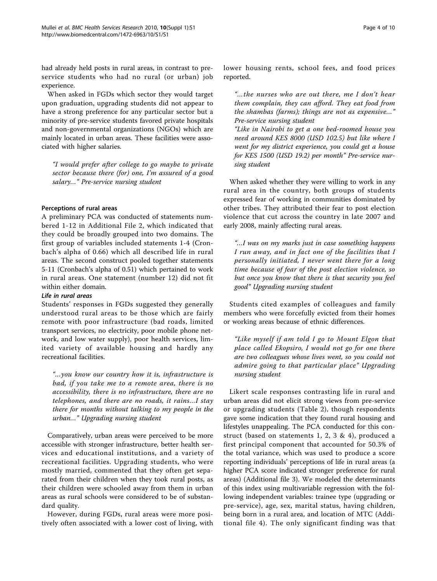had already held posts in rural areas, in contrast to preservice students who had no rural (or urban) job experience.

When asked in FGDs which sector they would target upon graduation, upgrading students did not appear to have a strong preference for any particular sector but a minority of pre-service students favored private hospitals and non-governmental organizations (NGOs) which are mainly located in urban areas. These facilities were associated with higher salaries.

"I would prefer after college to go maybe to private sector because there (for) one, I'm assured of a good salary…" Pre-service nursing student

### Perceptions of rural areas

A preliminary PCA was conducted of statements numbered 1-12 in Additional File [2](#page-8-0), which indicated that they could be broadly grouped into two domains. The first group of variables included statements 1-4 (Cronbach's alpha of 0.66) which all described life in rural areas. The second construct pooled together statements 5-11 (Cronbach's alpha of 0.51) which pertained to work in rural areas. One statement (number 12) did not fit within either domain.

# Life in rural areas

Students' responses in FGDs suggested they generally understood rural areas to be those which are fairly remote with poor infrastructure (bad roads, limited transport services, no electricity, poor mobile phone network, and low water supply), poor health services, limited variety of available housing and hardly any recreational facilities.

"…you know our country how it is, infrastructure is bad, if you take me to a remote area, there is no accessibility, there is no infrastructure, there are no telephones, and there are no roads, it rains…I stay there for months without talking to my people in the urban…" Upgrading nursing student

Comparatively, urban areas were perceived to be more accessible with stronger infrastructure, better health services and educational institutions, and a variety of recreational facilities. Upgrading students, who were mostly married, commented that they often get separated from their children when they took rural posts, as their children were schooled away from them in urban areas as rural schools were considered to be of substandard quality.

However, during FGDs, rural areas were more positively often associated with a lower cost of living, with lower housing rents, school fees, and food prices reported.

"…the nurses who are out there, me I don't hear them complain, they can afford. They eat food from the shambas (farms); things are not as expensive…" Pre-service nursing student

"Like in Nairobi to get a one bed-roomed house you need around KES 8000 (USD 102.5) but like where I went for my district experience, you could get a house for KES 1500 (USD 19.2) per month" Pre-service nursing student

When asked whether they were willing to work in any rural area in the country, both groups of students expressed fear of working in communities dominated by other tribes. They attributed their fear to post election violence that cut across the country in late 2007 and early 2008, mainly affecting rural areas.

"…I was on my marks just in case something happens I run away, and in fact one of the facilities that I personally initiated, I never went there for a long time because of fear of the post election violence, so but once you know that there is that security you feel good" Upgrading nursing student

Students cited examples of colleagues and family members who were forcefully evicted from their homes or working areas because of ethnic differences.

"Like myself if am told I go to Mount Elgon that place called Ekopsiro, I would not go for one there are two colleagues whose lives went, so you could not admire going to that particular place" Upgrading nursing student

Likert scale responses contrasting life in rural and urban areas did not elicit strong views from pre-service or upgrading students (Table 2), though respondents gave some indication that they found rural housing and lifestyles unappealing. The PCA conducted for this construct (based on statements 1, 2, 3 & 4), produced a first principal component that accounted for 50.3% of the total variance, which was used to produce a score reporting individuals' perceptions of life in rural areas (a higher PCA score indicated stronger preference for rural areas) (Additional file [3\)](#page-8-0). We modeled the determinants of this index using multivariable regression with the following independent variables: trainee type (upgrading or pre-service), age, sex, marital status, having children, being born in a rural area, and location of MTC (Additional file [4](#page-8-0)). The only significant finding was that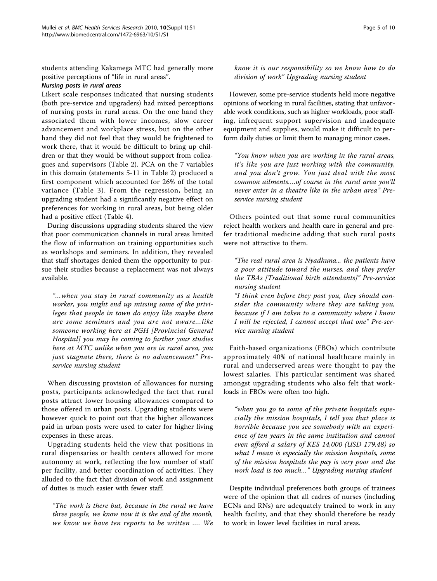students attending Kakamega MTC had generally more positive perceptions of "life in rural areas".

Likert scale responses indicated that nursing students (both pre-service and upgraders) had mixed perceptions of nursing posts in rural areas. On the one hand they associated them with lower incomes, slow career advancement and workplace stress, but on the other hand they did not feel that they would be frightened to work there, that it would be difficult to bring up children or that they would be without support from colleagues and supervisors (Table 2). PCA on the 7 variables in this domain (statements 5-11 in Table 2) produced a first component which accounted for 26% of the total variance (Table 3). From the regression, being an upgrading student had a significantly negative effect on preferences for working in rural areas, but being older had a positive effect (Table 4).

During discussions upgrading students shared the view that poor communication channels in rural areas limited the flow of information on training opportunities such as workshops and seminars. In addition, they revealed that staff shortages denied them the opportunity to pursue their studies because a replacement was not always available.

"…when you stay in rural community as a health worker, you might end up missing some of the privileges that people in town do enjoy like maybe there are some seminars and you are not aware…like someone working here at PGH [Provincial General Hospital] you may be coming to further your studies here at MTC unlike when you are in rural area, you just stagnate there, there is no advancement" Preservice nursing student

When discussing provision of allowances for nursing posts, participants acknowledged the fact that rural posts attract lower housing allowances compared to those offered in urban posts. Upgrading students were however quick to point out that the higher allowances paid in urban posts were used to cater for higher living expenses in these areas.

Upgrading students held the view that positions in rural dispensaries or health centers allowed for more autonomy at work, reflecting the low number of staff per facility, and better coordination of activities. They alluded to the fact that division of work and assignment of duties is much easier with fewer staff.

"The work is there but, because in the rural we have three people, we know now it is the end of the month, we know we have ten reports to be written …. We know it is our responsibility so we know how to do division of work" Upgrading nursing student

However, some pre-service students held more negative opinions of working in rural facilities, stating that unfavorable work conditions, such as higher workloads, poor staffing, infrequent support supervision and inadequate equipment and supplies, would make it difficult to perform daily duties or limit them to managing minor cases.

"You know when you are working in the rural areas, it's like you are just working with the community, and you don't grow. You just deal with the most common ailments….of course in the rural area you'll never enter in a theatre like in the urban area" Preservice nursing student

Others pointed out that some rural communities reject health workers and health care in general and prefer traditional medicine adding that such rural posts were not attractive to them.

"The real rural area is Nyadhuna... the patients have a poor attitude toward the nurses, and they prefer the TBAs [Traditional birth attendants]" Pre-service nursing student

"I think even before they post you, they should consider the community where they are taking you, because if I am taken to a community where I know I will be rejected, I cannot accept that one" Pre-service nursing student

Faith-based organizations (FBOs) which contribute approximately 40% of national healthcare mainly in rural and underserved areas were thought to pay the lowest salaries. This particular sentiment was shared amongst upgrading students who also felt that workloads in FBOs were often too high.

"when you go to some of the private hospitals especially the mission hospitals, I tell you that place is horrible because you see somebody with an experience of ten years in the same institution and cannot even afford a salary of KES 14,000 (USD 179.48) so what I mean is especially the mission hospitals, some of the mission hospitals the pay is very poor and the work load is too much…" Upgrading nursing student

Despite individual preferences both groups of trainees were of the opinion that all cadres of nurses (including ECNs and RNs) are adequately trained to work in any health facility, and that they should therefore be ready to work in lower level facilities in rural areas.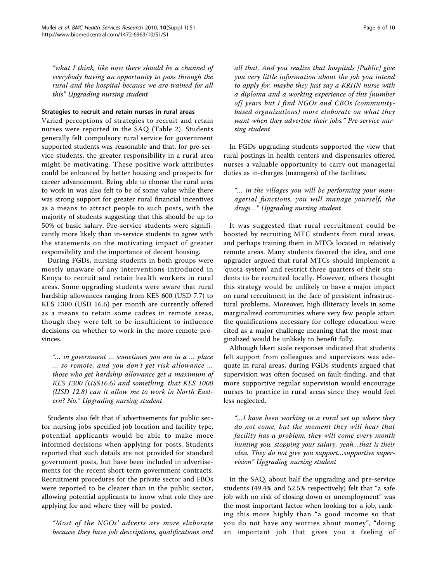"what I think, like now there should be a channel of everybody having an opportunity to pass through the rural and the hospital because we are trained for all this" Upgrading nursing student

## Strategies to recruit and retain nurses in rural areas

Varied perceptions of strategies to recruit and retain nurses were reported in the SAQ (Table 2). Students generally felt compulsory rural service for government supported students was reasonable and that, for pre-service students, the greater responsibility in a rural area might be motivating. These positive work attributes could be enhanced by better housing and prospects for career advancement. Being able to choose the rural area to work in was also felt to be of some value while there was strong support for greater rural financial incentives as a means to attract people to such posts, with the majority of students suggesting that this should be up to 50% of basic salary. Pre-service students were significantly more likely than in-service students to agree with the statements on the motivating impact of greater responsibility and the importance of decent housing.

During FGDs, nursing students in both groups were mostly unaware of any interventions introduced in Kenya to recruit and retain health workers in rural areas. Some upgrading students were aware that rural hardship allowances ranging from KES 600 (USD 7.7) to KES 1300 (USD 16.6) per month are currently offered as a means to retain some cadres in remote areas, though they were felt to be insufficient to influence decisions on whether to work in the more remote provinces.

"… in government … sometimes you are in a … place … so remote, and you don't get risk allowance … those who get hardship allowance get a maximum of KES 1300 (US\$16.6) and something, that KES 1000 (USD 12.8) can it allow me to work in North Eastern? No." Upgrading nursing student

Students also felt that if advertisements for public sector nursing jobs specified job location and facility type, potential applicants would be able to make more informed decisions when applying for posts. Students reported that such details are not provided for standard government posts, but have been included in advertisements for the recent short-term government contracts. Recruitment procedures for the private sector and FBOs were reported to be clearer than in the public sector, allowing potential applicants to know what role they are applying for and where they will be posted.

"Most of the NGOs' adverts are more elaborate because they have job descriptions, qualifications and all that. And you realize that hospitals [Public] give you very little information about the job you intend to apply for, maybe they just say a KRHN nurse with a diploma and a working experience of this [number of] years but I find NGOs and CBOs (communitybased organizations) more elaborate on what they want when they advertise their jobs." Pre-service nursing student

In FGDs upgrading students supported the view that rural postings in health centers and dispensaries offered nurses a valuable opportunity to carry out managerial duties as in-charges (managers) of the facilities.

"… in the villages you will be performing your managerial functions, you will manage yourself, the drugs…" Upgrading nursing student

It was suggested that rural recruitment could be boosted by recruiting MTC students from rural areas, and perhaps training them in MTCs located in relatively remote areas. Many students favored the idea, and one upgrader argued that rural MTCs should implement a 'quota system' and restrict three quarters of their students to be recruited locally. However, others thought this strategy would be unlikely to have a major impact on rural recruitment in the face of persistent infrastructural problems. Moreover, high illiteracy levels in some marginalized communities where very few people attain the qualifications necessary for college education were cited as a major challenge meaning that the most marginalized would be unlikely to benefit fully.

Although likert scale responses indicated that students felt support from colleagues and supervisors was adequate in rural areas, during FGDs students argued that supervision was often focused on fault-finding, and that more supportive regular supervision would encourage nurses to practice in rural areas since they would feel less neglected.

"…I have been working in a rural set up where they do not come, but the moment they will hear that facility has a problem, they will come every month hunting you, stopping your salary, yeah…that is their idea. They do not give you support…supportive supervision" Upgrading nursing student

In the SAQ, about half the upgrading and pre-service students (49.4% and 52.5% respectively) felt that "a safe job with no risk of closing down or unemployment" was the most important factor when looking for a job, ranking this more highly than "a good income so that you do not have any worries about money", "doing an important job that gives you a feeling of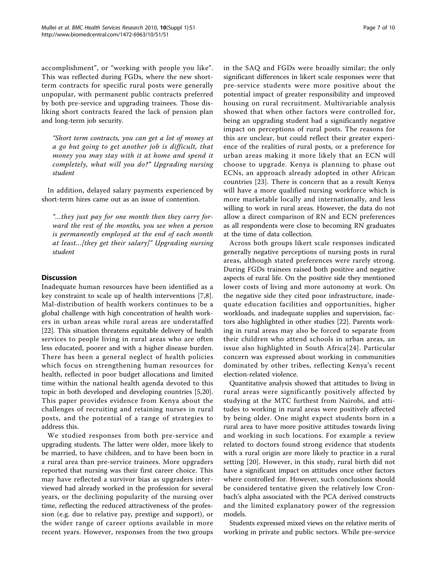accomplishment", or "working with people you like". This was reflected during FGDs, where the new shortterm contracts for specific rural posts were generally unpopular, with permanent public contracts preferred by both pre-service and upgrading trainees. Those disliking short contracts feared the lack of pension plan and long-term job security.

"Short term contracts, you can get a lot of money at a go but going to get another job is difficult, that money you may stay with it at home and spend it completely, what will you do?" Upgrading nursing student

In addition, delayed salary payments experienced by short-term hires came out as an issue of contention.

"…they just pay for one month then they carry forward the rest of the months, you see when a person is permanently employed at the end of each month at least…[they get their salary]" Upgrading nursing student

# **Discussion**

Inadequate human resources have been identified as a key constraint to scale up of health interventions [[7,8](#page-8-0)]. Mal-distribution of health workers continues to be a global challenge with high concentration of health workers in urban areas while rural areas are understaffed [[22\]](#page-8-0). This situation threatens equitable delivery of health services to people living in rural areas who are often less educated, poorer and with a higher disease burden. There has been a general neglect of health policies which focus on strengthening human resources for health, reflected in poor budget allocations and limited time within the national health agenda devoted to this topic in both developed and developing countries [\[5,20](#page-8-0)]. This paper provides evidence from Kenya about the challenges of recruiting and retaining nurses in rural posts, and the potential of a range of strategies to address this.

We studied responses from both pre-service and upgrading students. The latter were older, more likely to be married, to have children, and to have been born in a rural area than pre-service trainees. More upgraders reported that nursing was their first career choice. This may have reflected a survivor bias as upgraders interviewed had already worked in the profession for several years, or the declining popularity of the nursing over time, reflecting the reduced attractiveness of the profession (e.g. due to relative pay, prestige and support), or the wider range of career options available in more recent years. However, responses from the two groups in the SAQ and FGDs were broadly similar; the only significant differences in likert scale responses were that pre-service students were more positive about the potential impact of greater responsibility and improved housing on rural recruitment. Multivariable analysis showed that when other factors were controlled for, being an upgrading student had a significantly negative impact on perceptions of rural posts. The reasons for this are unclear, but could reflect their greater experience of the realities of rural posts, or a preference for urban areas making it more likely that an ECN will choose to upgrade. Kenya is planning to phase out ECNs, an approach already adopted in other African countries [[23\]](#page-8-0). There is concern that as a result Kenya will have a more qualified nursing workforce which is more marketable locally and internationally, and less willing to work in rural areas. However, the data do not allow a direct comparison of RN and ECN preferences as all respondents were close to becoming RN graduates at the time of data collection.

Across both groups likert scale responses indicated generally negative perceptions of nursing posts in rural areas, although stated preferences were rarely strong. During FGDs trainees raised both positive and negative aspects of rural life. On the positive side they mentioned lower costs of living and more autonomy at work. On the negative side they cited poor infrastructure, inadequate education facilities and opportunities, higher workloads, and inadequate supplies and supervision, factors also highlighted in other studies [[22](#page-8-0)]. Parents working in rural areas may also be forced to separate from their children who attend schools in urban areas, an issue also highlighted in South Africa[[24](#page-8-0)]. Particular concern was expressed about working in communities dominated by other tribes, reflecting Kenya's recent election-related violence.

Quantitative analysis showed that attitudes to living in rural areas were significantly positively affected by studying at the MTC furthest from Nairobi, and attitudes to working in rural areas were positively affected by being older. One might expect students born in a rural area to have more positive attitudes towards living and working in such locations. For example a review related to doctors found strong evidence that students with a rural origin are more likely to practice in a rural setting [[20\]](#page-8-0). However, in this study, rural birth did not have a significant impact on attitudes once other factors where controlled for. However, such conclusions should be considered tentative given the relatively low Cronbach's alpha associated with the PCA derived constructs and the limited explanatory power of the regression models.

Students expressed mixed views on the relative merits of working in private and public sectors. While pre-service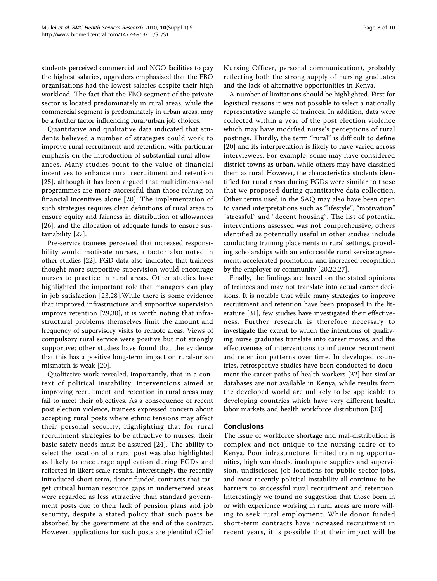students perceived commercial and NGO facilities to pay the highest salaries, upgraders emphasised that the FBO organisations had the lowest salaries despite their high workload. The fact that the FBO segment of the private sector is located predominately in rural areas, while the commercial segment is predominately in urban areas, may be a further factor influencing rural/urban job choices.

Quantitative and qualitative data indicated that students believed a number of strategies could work to improve rural recruitment and retention, with particular emphasis on the introduction of substantial rural allowances. Many studies point to the value of financial incentives to enhance rural recruitment and retention [[25\]](#page-8-0), although it has been argued that multidimensional programmes are more successful than those relying on financial incentives alone [[20](#page-8-0)]. The implementation of such strategies requires clear definitions of rural areas to ensure equity and fairness in distribution of allowances [[26\]](#page-9-0), and the allocation of adequate funds to ensure sustainability [\[27\]](#page-9-0).

Pre-service trainees perceived that increased responsibility would motivate nurses, a factor also noted in other studies [[22\]](#page-8-0). FGD data also indicated that trainees thought more supportive supervision would encourage nurses to practice in rural areas. Other studies have highlighted the important role that managers can play in job satisfaction [\[23](#page-8-0)[,28](#page-9-0)].While there is some evidence that improved infrastructure and supportive supervision improve retention [\[29,30](#page-9-0)], it is worth noting that infrastructural problems themselves limit the amount and frequency of supervisory visits to remote areas. Views of compulsory rural service were positive but not strongly supportive; other studies have found that the evidence that this has a positive long-term impact on rural-urban mismatch is weak [\[20\]](#page-8-0).

Qualitative work revealed, importantly, that in a context of political instability, interventions aimed at improving recruitment and retention in rural areas may fail to meet their objectives. As a consequence of recent post election violence, trainees expressed concern about accepting rural posts where ethnic tensions may affect their personal security, highlighting that for rural recruitment strategies to be attractive to nurses, their basic safety needs must be assured [[24](#page-8-0)]. The ability to select the location of a rural post was also highlighted as likely to encourage application during FGDs and reflected in likert scale results. Interestingly, the recently introduced short term, donor funded contracts that target critical human resource gaps in underserved areas were regarded as less attractive than standard government posts due to their lack of pension plans and job security, despite a stated policy that such posts be absorbed by the government at the end of the contract. However, applications for such posts are plentiful (Chief Nursing Officer, personal communication), probably reflecting both the strong supply of nursing graduates and the lack of alternative opportunities in Kenya.

A number of limitations should be highlighted. First for logistical reasons it was not possible to select a nationally representative sample of trainees. In addition, data were collected within a year of the post election violence which may have modified nurse's perceptions of rural postings. Thirdly, the term "rural" is difficult to define [[20](#page-8-0)] and its interpretation is likely to have varied across interviewees. For example, some may have considered district towns as urban, while others may have classified them as rural. However, the characteristics students identified for rural areas during FGDs were similar to those that we proposed during quantitative data collection. Other terms used in the SAQ may also have been open to varied interpretations such as "lifestyle", "motivation" "stressful" and "decent housing". The list of potential interventions assessed was not comprehensive; others identified as potentially useful in other studies include conducting training placements in rural settings, providing scholarships with an enforceable rural service agreement, accelerated promotion, and increased recognition by the employer or community [[20,22](#page-8-0),[27](#page-9-0)].

Finally, the findings are based on the stated opinions of trainees and may not translate into actual career decisions. It is notable that while many strategies to improve recruitment and retention have been proposed in the literature [[31\]](#page-9-0), few studies have investigated their effectiveness. Further research is therefore necessary to investigate the extent to which the intentions of qualifying nurse graduates translate into career moves, and the effectiveness of interventions to influence recruitment and retention patterns over time. In developed countries, retrospective studies have been conducted to document the career paths of health workers [[32](#page-9-0)] but similar databases are not available in Kenya, while results from the developed world are unlikely to be applicable to developing countries which have very different health labor markets and health workforce distribution [[33](#page-9-0)].

# Conclusions

The issue of workforce shortage and mal-distribution is complex and not unique to the nursing cadre or to Kenya. Poor infrastructure, limited training opportunities, high workloads, inadequate supplies and supervision, undisclosed job locations for public sector jobs, and most recently political instability all continue to be barriers to successful rural recruitment and retention. Interestingly we found no suggestion that those born in or with experience working in rural areas are more willing to seek rural employment. While donor funded short-term contracts have increased recruitment in recent years, it is possible that their impact will be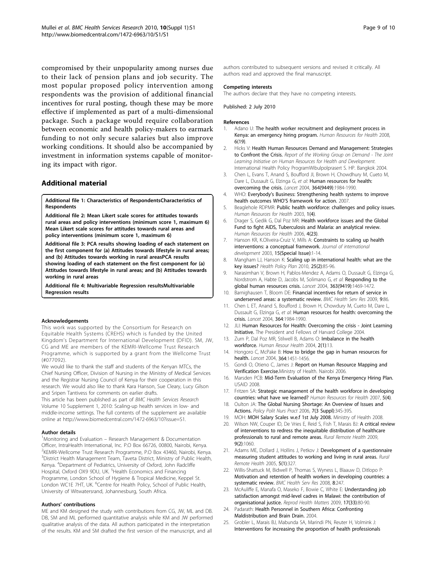<span id="page-8-0"></span>compromised by their unpopularity among nurses due to their lack of pension plans and job security. The most popular proposed policy intervention among respondents was the provision of additional financial incentives for rural posting, though these may be more effective if implemented as part of a multi-dimensional package. Such a package would require collaboration between economic and health policy-makers to earmark funding to not only secure salaries but also improve working conditions. It should also be accompanied by investment in information systems capable of monitoring its impact with rigor.

### Additional material

[Additional file 1: C](http://www.biomedcentral.com/content/supplementary/1472-6963-10-S1-S1-S1.docx)haracteristics of RespondentsCharacteristics of Respondents

[Additional file 2: M](http://www.biomedcentral.com/content/supplementary/1472-6963-10-S1-S1-S2.docx)ean Likert scale scores for attitudes towards rural areas and policy interventions (minimum score 1, maximum 6) Mean Likert scale scores for attitudes towards rural areas and policy interventions (minimum score 1, maximum 6)

[Additional file 3: P](http://www.biomedcentral.com/content/supplementary/1472-6963-10-S1-S1-S3.docx)CA results showing loading of each statement on the first component for (a) Attitudes towards lifestyle in rural areas; and (b) Attitudes towards working in rural areasPCA results showing loading of each statement on the first component for (a) Attitudes towards lifestyle in rural areas; and (b) Attitudes towards working in rural areas

[Additional file 4: M](http://www.biomedcentral.com/content/supplementary/1472-6963-10-S1-S1-S4.docx)ultivariable Regression resultsMultivariable Regression results

#### Acknowledgements

This work was supported by the Consortium for Research on Equitable Health Systems (CREHS) which is funded by the United Kingdom's Department for International Development (DFID). SM, JW, CG and ME are members of the KEMRI-Wellcome Trust Research Programme, which is supported by a grant from the Wellcome Trust (#077092).

We would like to thank the staff and students of the Kenyan MTCs, the Chief Nursing Officer, Division of Nursing in the Ministry of Medical Services and the Registrar Nursing Council of Kenya for their cooperation in this research. We would also like to thank Kara Hanson, Sue Cleary, Lucy Gilson and Sripen Tantivess for comments on earlier drafts.

This article has been published as part of BMC Health Services Research Volume 10 Supplement 1, 2010: Scaling-up health services in low- and middle-income settings. The full contents of the supplement are available online at<http://www.biomedcentral.com/1472-6963/10?issue=S1>.

#### Author details

<sup>1</sup>Monitoring and Evaluation - Research Management & Documentation Officer, IntraHealth International, Inc. P.O Box 66726, 00800, Nairobi, Kenya. 2 KEMRI-Wellcome Trust Research Programme, P.O Box 43460, Nairobi, Kenya. <sup>3</sup>District Health Management Team, Taveta District, Ministry of Public Health, Kenya. <sup>4</sup>Department of Pediatrics, University of Oxford, John Radcliffe Hospital, Oxford OX9 9DU, UK. <sup>5</sup>Health Economics and Financing Programme, London School of Hygiene & Tropical Medicine, Keppel St. London WC1E 7HT, UK. <sup>6</sup>Centre for Health Policy, School of Public Health, University of Witwatersrand, Johannesburg, South Africa.

#### Authors' contributions

ME and KM designed the study with contributions from CG, JW, ML and DB. DB, SM and ML performed quantitative analysis while KM and JW performed qualitative analysis of the data. All authors participated in the interpretation of the results. KM and SM drafted the first version of the manuscript, and all

authors contributed to subsequent versions and revised it critically. All authors read and approved the final manuscript.

#### Competing interests

The authors declare that they have no competing interests.

Published: 2 July 2010

#### References

- 1. Adano U: [The health worker recruitment and deployment process in](http://www.ncbi.nlm.nih.gov/pubmed/18796157?dopt=Abstract) [Kenya: an emergency hiring program.](http://www.ncbi.nlm.nih.gov/pubmed/18796157?dopt=Abstract) Human Resources for Health 2008, 6(19).
- 2. Hicks V: Health Human Resources Demand and Management: Strategies to Confront the Crisis. Report of the Working Group on Demand - The Joint Learning Initiative on Human Resources for Health and Development. International Health Policy ProgramWibulpolprasert S. HP. Bangkok 2004.
- 3. Chen L, Evans T, Anand S, Boufford JI, Brown H, Chowdhury M, Cueto M, Dare L, Dussault G, Elzinga G, et al: [Human resources for health:](http://www.ncbi.nlm.nih.gov/pubmed/15567015?dopt=Abstract) [overcoming the crisis.](http://www.ncbi.nlm.nih.gov/pubmed/15567015?dopt=Abstract) Lancet 2004, 364(9449):1984-1990.
- 4. WHO: Everybody's Business: Strengthening health systems to improve health outcomes WHO'S framework for action. 2007.
- 5. Beaglehole RDPMR: [Public health workforce: challenges and policy issues.](http://www.ncbi.nlm.nih.gov/pubmed/12904251?dopt=Abstract) Human Resources for Health 2003, 1(4).
- 6. Drager S, Gedik G, Dal Poz MR: [Health workforce issues and the Global](http://www.ncbi.nlm.nih.gov/pubmed/16930480?dopt=Abstract) [Fund to fight AIDS, Tuberculosis and Malaria: an analytical review.](http://www.ncbi.nlm.nih.gov/pubmed/16930480?dopt=Abstract) Human Resources for Health 2006, 4(23).
- 7. Hanson KR, K.Oliveira-Cruiz V, Mills A: Constraints to scaling up health interventions: a conceptual framework. Journal of international development 2003, 15(Special Issue):1-14.
- 8. Mangham LJ, Hanson K: [Scaling up in international health: what are the](http://www.ncbi.nlm.nih.gov/pubmed/20071454?dopt=Abstract) [key issues?](http://www.ncbi.nlm.nih.gov/pubmed/20071454?dopt=Abstract) Health Policy Plan 2010, 25(2):85-96.
- 9. Narasimhan V, Brown H, Pablos-Mendez A, Adams O, Dussault G, Elzinga G, Nordstrom A, Habte D, Jacobs M, Solimano G, et al: [Responding to the](http://www.ncbi.nlm.nih.gov/pubmed/15121412?dopt=Abstract) [global human resources crisis.](http://www.ncbi.nlm.nih.gov/pubmed/15121412?dopt=Abstract) Lancet 2004, 363(9419):1469-1472.
- 10. Barnighausen T, Bloom DE: [Financial incentives for return of service in](http://www.ncbi.nlm.nih.gov/pubmed/19480656?dopt=Abstract) [underserved areas: a systematic review.](http://www.ncbi.nlm.nih.gov/pubmed/19480656?dopt=Abstract) BMC Health Serv Res 2009, 9:86.
- 11. Chen L ET, Anand S, Boufford J, Brown H, Chowdury M, Cueto M, Dare L, Dussault G, Elzinga G, et al: [Human resources for health: overcoming the](http://www.ncbi.nlm.nih.gov/pubmed/15567015?dopt=Abstract) [crisis.](http://www.ncbi.nlm.nih.gov/pubmed/15567015?dopt=Abstract) Lancet 2004, 364:1984-1990.
- 12. JLI: Human Resources for Health: Overcoming the crisis Joint Learning Initiative. The President and Fellows of Harvard College 2004.
- 13. Zurn P, Dal Poz MR, Stilwell B, Adams O: Imbalance in the health workforce. Human Resour Health 2004, 2(1):13.
- 14. Hongoro C, McPake B: [How to bridge the gap in human resources for](http://www.ncbi.nlm.nih.gov/pubmed/15488222?dopt=Abstract) [health.](http://www.ncbi.nlm.nih.gov/pubmed/15488222?dopt=Abstract) Lancet 2004, 364:1451-1456.
- 15. Gondi O, Otieno C, James J: Report on Human Resource Mapping and Verification Exercise.Ministry of Health. Nairobi 2006.
- 16. Marsden PCB: Mid-Term Evaluation of the Kenya Emergency Hiring Plan. USAID 2008.
- 17. Fritzen SA: [Strategic management of the health workforce in developing](http://www.ncbi.nlm.nih.gov/pubmed/17319973?dopt=Abstract) [countries: what have we learned?](http://www.ncbi.nlm.nih.gov/pubmed/17319973?dopt=Abstract) Human Resources for Health 2007, 5(4).
- 18. Oulton JA: [The Global Nursing Shortage: An Overview of Issues and](http://www.ncbi.nlm.nih.gov/pubmed/17071693?dopt=Abstract) [Actions.](http://www.ncbi.nlm.nih.gov/pubmed/17071693?dopt=Abstract) Policy Polit Nurs Pract 2006, 7(3 Suppl):34S-39S.
- 19. MOH: MOH Salary Scales w.e.f 1st July 2008. Ministry of Health 2008.
- 20. Wilson NW, Couper ID, De Vries E, Reid S, Fish T, Marais BJ: [A critical review](http://www.ncbi.nlm.nih.gov/pubmed/19530891?dopt=Abstract) [of interventions to redress the inequitable distribution of healthcare](http://www.ncbi.nlm.nih.gov/pubmed/19530891?dopt=Abstract) [professionals to rural and remote areas.](http://www.ncbi.nlm.nih.gov/pubmed/19530891?dopt=Abstract) Rural Remote Health 2009, 9(2):1060.
- 21. Adams ME, Dollard J, Hollins J, Petkov J: [Development of a questionnaire](http://www.ncbi.nlm.nih.gov/pubmed/15865474?dopt=Abstract) [measuring student attitudes to working and living in rural areas.](http://www.ncbi.nlm.nih.gov/pubmed/15865474?dopt=Abstract) Rural Remote Health 2005, 5(1):327.
- 22. Willis-Shattuck M, Bidwell P, Thomas S, Wyness L, Blaauw D, Ditlopo P: [Motivation and retention of health workers in developing countries: a](http://www.ncbi.nlm.nih.gov/pubmed/19055827?dopt=Abstract) [systematic review.](http://www.ncbi.nlm.nih.gov/pubmed/19055827?dopt=Abstract) BMC Health Serv Res 2008, 8:247.
- 23. McAuliffe E, Manafa O, Maseko F, Bowie C, White E: [Understanding job](http://www.ncbi.nlm.nih.gov/pubmed/19523585?dopt=Abstract) [satisfaction amongst mid-level cadres in Malawi: the contribution of](http://www.ncbi.nlm.nih.gov/pubmed/19523585?dopt=Abstract) [organisational justice.](http://www.ncbi.nlm.nih.gov/pubmed/19523585?dopt=Abstract) Reprod Health Matters 2009, 17(33):80-90.
- 24. Padarath: Health Personnel in Southern Africa: Confronting Maldistribution and Brain Drain. 2004.
- 25. Grobler L, Marais BJ, Mabunda SA, Marindi PN, Reuter H, Volmink J: [Interventions for increasing the proportion of health professionals](http://www.ncbi.nlm.nih.gov/pubmed/19160251?dopt=Abstract)